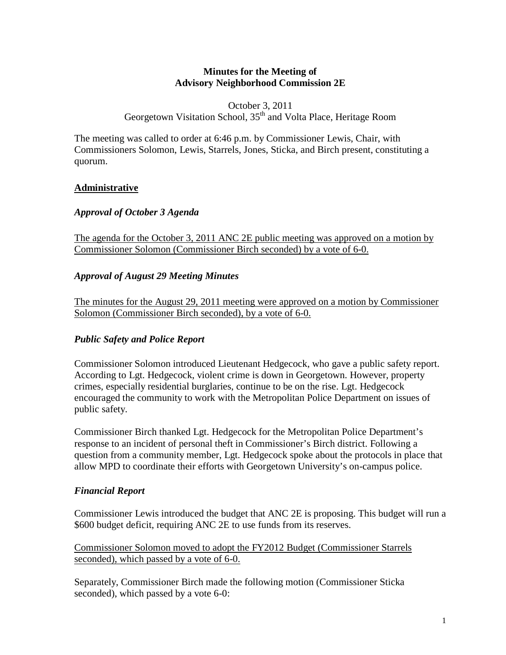### **Minutes for the Meeting of Advisory Neighborhood Commission 2E**

### October 3, 2011 Georgetown Visitation School, 35<sup>th</sup> and Volta Place, Heritage Room

The meeting was called to order at 6:46 p.m. by Commissioner Lewis, Chair, with Commissioners Solomon, Lewis, Starrels, Jones, Sticka, and Birch present, constituting a quorum.

### **Administrative**

### *Approval of October 3 Agenda*

The agenda for the October 3, 2011 ANC 2E public meeting was approved on a motion by Commissioner Solomon (Commissioner Birch seconded) by a vote of 6-0.

### *Approval of August 29 Meeting Minutes*

The minutes for the August 29, 2011 meeting were approved on a motion by Commissioner Solomon (Commissioner Birch seconded), by a vote of 6-0.

## *Public Safety and Police Report*

Commissioner Solomon introduced Lieutenant Hedgecock, who gave a public safety report. According to Lgt. Hedgecock, violent crime is down in Georgetown. However, property crimes, especially residential burglaries, continue to be on the rise. Lgt. Hedgecock encouraged the community to work with the Metropolitan Police Department on issues of public safety.

Commissioner Birch thanked Lgt. Hedgecock for the Metropolitan Police Department's response to an incident of personal theft in Commissioner's Birch district. Following a question from a community member, Lgt. Hedgecock spoke about the protocols in place that allow MPD to coordinate their efforts with Georgetown University's on-campus police.

## *Financial Report*

Commissioner Lewis introduced the budget that ANC 2E is proposing. This budget will run a \$600 budget deficit, requiring ANC 2E to use funds from its reserves.

Commissioner Solomon moved to adopt the FY2012 Budget (Commissioner Starrels seconded), which passed by a vote of 6-0.

Separately, Commissioner Birch made the following motion (Commissioner Sticka seconded), which passed by a vote 6-0: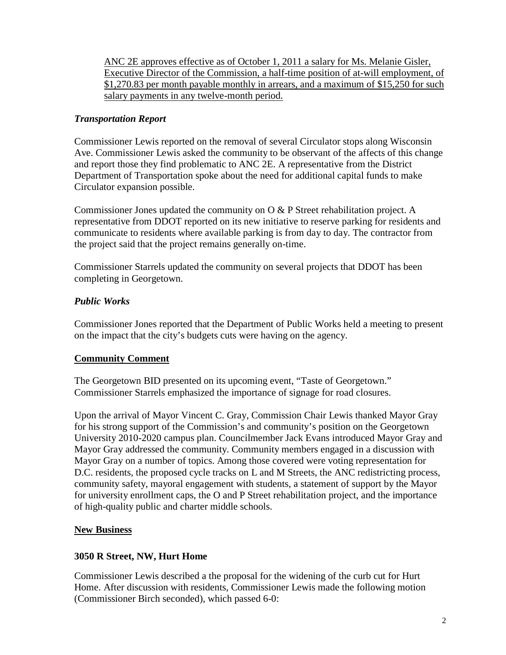ANC 2E approves effective as of October 1, 2011 a salary for Ms. Melanie Gisler, Executive Director of the Commission, a half-time position of at-will employment, of \$1,270.83 per month payable monthly in arrears, and a maximum of \$15,250 for such salary payments in any twelve-month period.

## *Transportation Report*

Commissioner Lewis reported on the removal of several Circulator stops along Wisconsin Ave. Commissioner Lewis asked the community to be observant of the affects of this change and report those they find problematic to ANC 2E. A representative from the District Department of Transportation spoke about the need for additional capital funds to make Circulator expansion possible.

Commissioner Jones updated the community on  $\overline{O} \& P$  Street rehabilitation project. A representative from DDOT reported on its new initiative to reserve parking for residents and communicate to residents where available parking is from day to day. The contractor from the project said that the project remains generally on-time.

Commissioner Starrels updated the community on several projects that DDOT has been completing in Georgetown.

## *Public Works*

Commissioner Jones reported that the Department of Public Works held a meeting to present on the impact that the city's budgets cuts were having on the agency.

## **Community Comment**

The Georgetown BID presented on its upcoming event, "Taste of Georgetown." Commissioner Starrels emphasized the importance of signage for road closures.

Upon the arrival of Mayor Vincent C. Gray, Commission Chair Lewis thanked Mayor Gray for his strong support of the Commission's and community's position on the Georgetown University 2010-2020 campus plan. Councilmember Jack Evans introduced Mayor Gray and Mayor Gray addressed the community. Community members engaged in a discussion with Mayor Gray on a number of topics. Among those covered were voting representation for D.C. residents, the proposed cycle tracks on L and M Streets, the ANC redistricting process, community safety, mayoral engagement with students, a statement of support by the Mayor for university enrollment caps, the O and P Street rehabilitation project, and the importance of high-quality public and charter middle schools.

## **New Business**

## **3050 R Street, NW, Hurt Home**

Commissioner Lewis described a the proposal for the widening of the curb cut for Hurt Home. After discussion with residents, Commissioner Lewis made the following motion (Commissioner Birch seconded), which passed 6-0: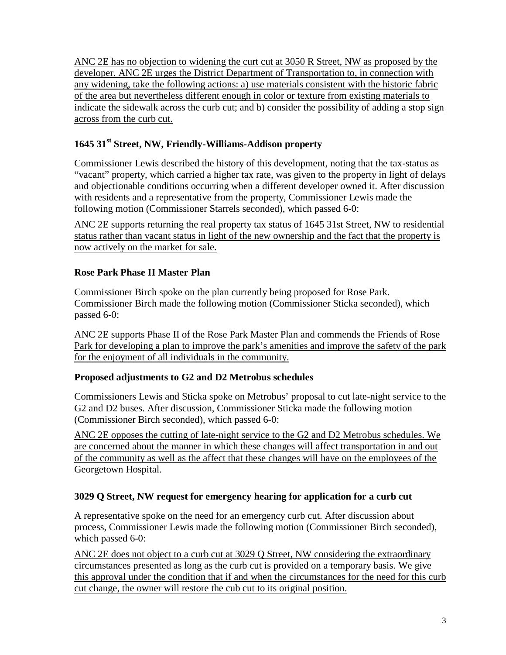ANC 2E has no objection to widening the curt cut at 3050 R Street, NW as proposed by the developer. ANC 2E urges the District Department of Transportation to, in connection with any widening, take the following actions: a) use materials consistent with the historic fabric of the area but nevertheless different enough in color or texture from existing materials to indicate the sidewalk across the curb cut; and b) consider the possibility of adding a stop sign across from the curb cut.

# **1645 31st Street, NW, Friendly-Williams-Addison property**

Commissioner Lewis described the history of this development, noting that the tax-status as "vacant" property, which carried a higher tax rate, was given to the property in light of delays and objectionable conditions occurring when a different developer owned it. After discussion with residents and a representative from the property, Commissioner Lewis made the following motion (Commissioner Starrels seconded), which passed 6-0:

ANC 2E supports returning the real property tax status of 1645 31st Street, NW to residential status rather than vacant status in light of the new ownership and the fact that the property is now actively on the market for sale.

## **Rose Park Phase II Master Plan**

Commissioner Birch spoke on the plan currently being proposed for Rose Park. Commissioner Birch made the following motion (Commissioner Sticka seconded), which passed 6-0:

ANC 2E supports Phase II of the Rose Park Master Plan and commends the Friends of Rose Park for developing a plan to improve the park's amenities and improve the safety of the park for the enjoyment of all individuals in the community.

## **Proposed adjustments to G2 and D2 Metrobus schedules**

Commissioners Lewis and Sticka spoke on Metrobus' proposal to cut late-night service to the G2 and D2 buses. After discussion, Commissioner Sticka made the following motion (Commissioner Birch seconded), which passed 6-0:

ANC 2E opposes the cutting of late-night service to the G2 and D2 Metrobus schedules. We are concerned about the manner in which these changes will affect transportation in and out of the community as well as the affect that these changes will have on the employees of the Georgetown Hospital.

## **3029 Q Street, NW request for emergency hearing for application for a curb cut**

A representative spoke on the need for an emergency curb cut. After discussion about process, Commissioner Lewis made the following motion (Commissioner Birch seconded), which passed 6-0:

ANC 2E does not object to a curb cut at 3029 Q Street, NW considering the extraordinary circumstances presented as long as the curb cut is provided on a temporary basis. We give this approval under the condition that if and when the circumstances for the need for this curb cut change, the owner will restore the cub cut to its original position.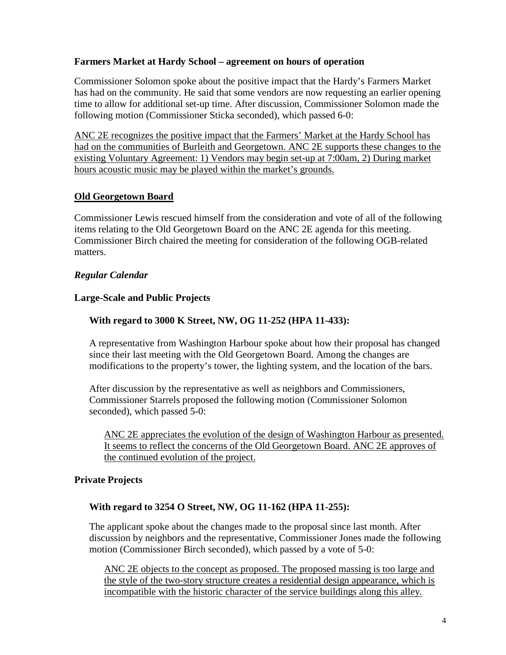### **Farmers Market at Hardy School – agreement on hours of operation**

Commissioner Solomon spoke about the positive impact that the Hardy's Farmers Market has had on the community. He said that some vendors are now requesting an earlier opening time to allow for additional set-up time. After discussion, Commissioner Solomon made the following motion (Commissioner Sticka seconded), which passed 6-0:

ANC 2E recognizes the positive impact that the Farmers' Market at the Hardy School has had on the communities of Burleith and Georgetown. ANC 2E supports these changes to the existing Voluntary Agreement: 1) Vendors may begin set-up at 7:00am, 2) During market hours acoustic music may be played within the market's grounds.

### **Old Georgetown Board**

Commissioner Lewis rescued himself from the consideration and vote of all of the following items relating to the Old Georgetown Board on the ANC 2E agenda for this meeting. Commissioner Birch chaired the meeting for consideration of the following OGB-related matters.

### *Regular Calendar*

### **Large-Scale and Public Projects**

### **With regard to 3000 K Street, NW, OG 11-252 (HPA 11-433):**

A representative from Washington Harbour spoke about how their proposal has changed since their last meeting with the Old Georgetown Board. Among the changes are modifications to the property's tower, the lighting system, and the location of the bars.

After discussion by the representative as well as neighbors and Commissioners, Commissioner Starrels proposed the following motion (Commissioner Solomon seconded), which passed 5-0:

ANC 2E appreciates the evolution of the design of Washington Harbour as presented. It seems to reflect the concerns of the Old Georgetown Board. ANC 2E approves of the continued evolution of the project.

## **Private Projects**

#### **With regard to 3254 O Street, NW, OG 11-162 (HPA 11-255):**

The applicant spoke about the changes made to the proposal since last month. After discussion by neighbors and the representative, Commissioner Jones made the following motion (Commissioner Birch seconded), which passed by a vote of 5-0:

ANC 2E objects to the concept as proposed. The proposed massing is too large and the style of the two-story structure creates a residential design appearance, which is incompatible with the historic character of the service buildings along this alley.